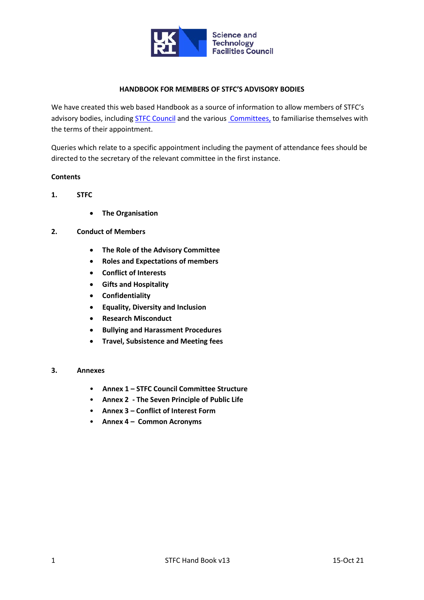

## **HANDBOOK FOR MEMBERS OF STFC'S ADVISORY BODIES**

We have created this web based Handbook as a source of information to allow members of STFC's advisory bodies, including **[STFC Council](https://stfc.ukri.org/about-us/how-we-are-governed/council/)** and the various [Committees,](https://stfc.ukri.org/about-us/how-we-are-governed/advisory-boards-panels-committees/) to familiarise themselves with the terms of their appointment.

Queries which relate to a specific appointment including the payment of attendance fees should be directed to the secretary of the relevant committee in the first instance.

## **Contents**

- **1. STFC**
	- **The Organisation**

# **2. Conduct of Members**

- **The Role of the Advisory Committee**
- **Roles and Expectations of members**
- **Conflict of Interests**
- **Gifts and Hospitality**
- **Confidentiality**
- **Equality, Diversity and Inclusion**
- **Research Misconduct**
- **Bullying and Harassment Procedures**
- **Travel, Subsistence and Meeting fees**

# **3. Annexes**

- **Annex 1 – STFC Council Committee Structure**
- **Annex 2 - The Seven Principle of Public Life**
- **Annex 3 – Conflict of Interest Form**
- **Annex 4 – Common Acronyms**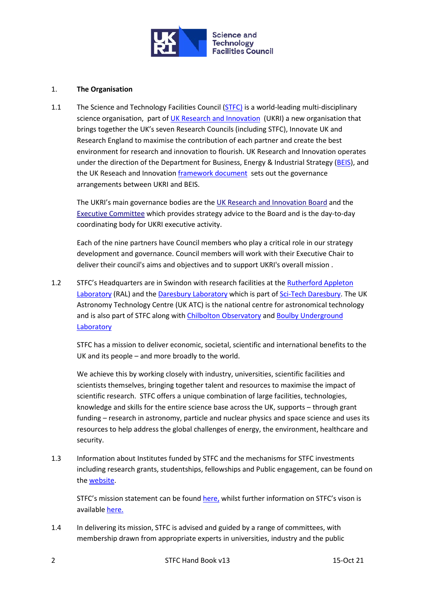

# 1. **The Organisation**

1.1 The Science and Technology Facilities Council [\(STFC\)](http://www.stfc.ukri.org/) is a world-leading multi-disciplinary science organisation, part o[f UK Research and Innovation](https://www.ukri.org/) (UKRI) a new organisation that brings together the UK's seven Research Councils (including STFC), Innovate UK and Research England to maximise the contribution of each partner and create the best environment for research and innovation to flourish. UK Research and Innovation operates under the direction of the Department for Business, Energy & Industrial Strategy [\(BEIS\)](https://www.gov.uk/government/organisations/department-for-business-energy-and-industrial-strategy), and the UK Reseach and Innovation [framework document](https://www.ukri.org/files/about/ukri-framework-document-2018-pdf/) sets out the governance arrangements between UKRI and BEIS.

The UKRI's main governance bodies are the [UK Research and Innovation Board](https://www.ukri.org/about-us/governance-and-structure/uk-research-and-innovation-board/) and the [Executive Committee](https://www.ukri.org/about-us/governance-and-structure/executive-committee/) which provides strategy advice to the Board and is the day-to-day coordinating body for UKRI executive activity.

Each of the nine partners have Council members who play a critical role in our strategy development and governance. Council members will work with their Executive Chair to deliver their council's aims and objectives and to support UKRI's overall mission .

1.2 STFC's Headquarters are in Swindon with research facilities at the [Rutherford Appleton](https://stfc.ukri.org/about-us/where-we-work/rutherford-appleton-laboratory/)  [Laboratory](https://stfc.ukri.org/about-us/where-we-work/rutherford-appleton-laboratory/) (RAL) and the [Daresbury Laboratory](https://stfc.ukri.org/about-us/where-we-work/daresbury-laboratory/) which is part of [Sci-Tech Daresbury.](https://stfc.ukri.org/innovation/campuses/sci-tech-daresbury/) The UK Astronomy Technology Centre (UK ATC) is the national centre for astronomical technology and is also part of STFC along with [Chilbolton Observatory](https://stfc.ukri.org/about-us/where-we-work/chilbolton-observatory/) and [Boulby Underground](https://stfc.ukri.org/about-us/where-we-work/boulby-underground-laboratory/)  [Laboratory](https://stfc.ukri.org/about-us/where-we-work/boulby-underground-laboratory/)

STFC has a mission to deliver economic, societal, scientific and international benefits to the UK and its people – and more broadly to the world.

We achieve this by working closely with industry, universities, scientific facilities and scientists themselves, bringing together talent and resources to maximise the impact of scientific research. STFC offers a unique combination of large facilities, technologies, knowledge and skills for the entire science base across the UK, supports – through grant funding – research in astronomy, particle and nuclear physics and space science and uses its resources to help address the global challenges of energy, the environment, healthcare and security.

1.3 Information about Institutes funded by STFC and the mechanisms for STFC investments including research grants, studentships, fellowships and Public engagement, can be found on the [website.](https://stfc.ukri.org/funding/)

STFC's mission statement can be found [here,](https://stfc.ukri.org/about-us/our-purpose-and-priorities/mission/) whilst further information on STFC's vison is available [here.](https://stfc.ukri.org/about-us/our-purpose-and-priorities/stfc-vision/)

1.4 In delivering its mission, STFC is advised and guided by a range of committees, with membership drawn from appropriate experts in universities, industry and the public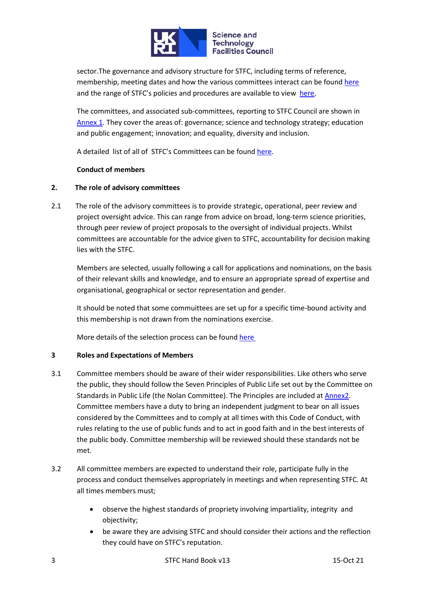

sector.The governance and advisory structure for STFC, including terms of reference, membership, meeting dates and how the various committees interact can be foun[d here](https://stfc.ukri.org/about-us/how-we-are-governed/) and the range of STFC's policies and procedures are available to view [here.](https://stfc.ukri.org/about-us/how-we-are-governed/policies-standards/)

The committees, and associated sub-committees, reporting to STFC Council are shown in [Annex 1.](#page-9-0) They cover the areas of: governance; science and technology strategy; education and public engagement; innovation; and equality, diversity and inclusion.

A detailed list of all of STFC's Committees can be found [here.](https://stfc.ukri.org/about-us/how-we-are-governed/advisory-boards-panels-committees/)

## **Conduct of members**

## **2. The role of advisory committees**

2.1 The role of the advisory committees is to provide strategic, operational, peer review and project oversight advice. This can range from advice on broad, long-term science priorities, through peer review of project proposals to the oversight of individual projects. Whilst committees are accountable for the advice given to STFC, accountability for decision making lies with the STFC.

Members are selected, usually following a call for applications and nominations, on the basis of their relevant skills and knowledge, and to ensure an appropriate spread of expertise and organisational, geographical or sector representation and gender.

It should be noted that some commuittees are set up for a specific time-bound activity and this membership is not drawn from the nominations exercise.

More details of the selection process can be found [here](https://stfc.ukri.org/about-us/how-we-are-governed/advisory-boards-panels-committees/advisory-committee-selection-process/) 

## **3 Roles and Expectations of Members**

- 3.1 Committee members should be aware of their wider responsibilities. Like others who serve the public, they should follow the Seven Principles of Public Life set out by the Committee on Standards in Public Life (the Nolan Committee). The Principles are included at [Annex2.](#page-11-0) Committee members have a duty to bring an independent judgment to bear on all issues considered by the Committees and to comply at all times with this Code of Conduct, with rules relating to the use of public funds and to act in good faith and in the best interests of the public body. Committee membership will be reviewed should these standards not be met.
- 3.2 All committee members are expected to understand their role, participate fully in the process and conduct themselves appropriately in meetings and when representing STFC. At all times members must;
	- observe the highest standards of propriety involving impartiality, integrity and objectivity;
	- be aware they are advising STFC and should consider their actions and the reflection they could have on STFC's reputation.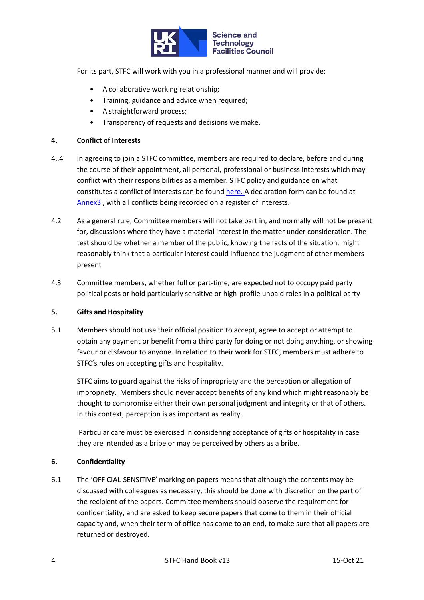

For its part, STFC will work with you in a professional manner and will provide:

- A collaborative working relationship;
- Training, guidance and advice when required;
- A straightforward process;
- Transparency of requests and decisions we make.

## **4. Conflict of Interests**

- 4..4 In agreeing to join a STFC committee, members are required to declare, before and during the course of their appointment, all personal, professional or business interests which may conflict with their responsibilities as a member. STFC policy and guidance on what constitutes a conflict of interests can be foun[d here.](https://stfc.ukri.org/funding/research-grants/peer-review-and-assessment/) A declaration form can be found at [Annex3 ,](#page-12-0) with all conflicts being recorded on a register of interests.
- 4.2 As a general rule, Committee members will not take part in, and normally will not be present for, discussions where they have a material interest in the matter under consideration. The test should be whether a member of the public, knowing the facts of the situation, might reasonably think that a particular interest could influence the judgment of other members present
- 4.3 Committee members, whether full or part-time, are expected not to occupy paid party political posts or hold particularly sensitive or high-profile unpaid roles in a political party

## **5. Gifts and Hospitality**

5.1 Members should not use their official position to accept, agree to accept or attempt to obtain any payment or benefit from a third party for doing or not doing anything, or showing favour or disfavour to anyone. In relation to their work for STFC, members must adhere to STFC's rules on accepting gifts and hospitality.

STFC aims to guard against the risks of impropriety and the perception or allegation of impropriety. Members should never accept benefits of any kind which might reasonably be thought to compromise either their own personal judgment and integrity or that of others. In this context, perception is as important as reality.

Particular care must be exercised in considering acceptance of gifts or hospitality in case they are intended as a bribe or may be perceived by others as a bribe.

## **6. Confidentiality**

6.1 The 'OFFICIAL-SENSITIVE' marking on papers means that although the contents may be discussed with colleagues as necessary, this should be done with discretion on the part of the recipient of the papers. Committee members should observe the requirement for confidentiality, and are asked to keep secure papers that come to them in their official capacity and, when their term of office has come to an end, to make sure that all papers are returned or destroyed.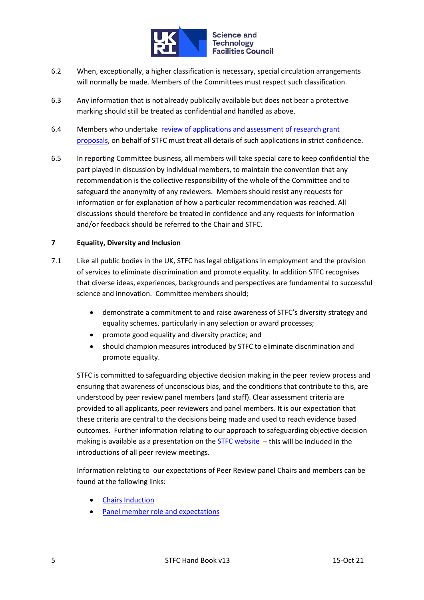

- 6.2 When, exceptionally, a higher classification is necessary, special circulation arrangements will normally be made. Members of the Committees must respect such classification.
- 6.3 Any information that is not already publically available but does not bear a protective marking should still be treated as confidential and handled as above.
- 6.4 Members who undertake [review of applications](https://stfc.ukri.org/funding/research-grants/peer-review-and-assessment/) and assessment of research grant proposals, on behalf of STFC must treat all details of such applications in strict confidence.
- 6.5 In reporting Committee business, all members will take special care to keep confidential the part played in discussion by individual members, to maintain the convention that any recommendation is the collective responsibility of the whole of the Committee and to safeguard the anonymity of any reviewers. Members should resist any requests for information or for explanation of how a particular recommendation was reached. All discussions should therefore be treated in confidence and any requests for information and/or feedback should be referred to the Chair and STFC.

## **7 Equality, Diversity and Inclusion**

- 7.1 Like all public bodies in the UK, STFC has legal obligations in employment and the provision of services to eliminate discrimination and promote equality. In addition STFC recognises that diverse ideas, experiences, backgrounds and perspectives are fundamental to successful science and innovation. Committee members should;
	- demonstrate a commitment to and raise awareness of STFC's diversity strategy and equality schemes, particularly in any selection or award processes;
	- promote good equality and diversity practice; and
	- should champion measures introduced by STFC to eliminate discrimination and promote equality.

STFC is committed to safeguarding objective decision making in the peer review process and ensuring that awareness of unconscious bias, and the conditions that contribute to this, are understood by peer review panel members (and staff). Clear assessment criteria are provided to all applicants, peer reviewers and panel members. It is our expectation that these criteria are central to the decisions being made and used to reach evidence based outcomes. Further information relating to our approach to safeguarding objective decision making is available as a presentation on th[e STFC website](https://stfc.ukri.org/files/safeguarding-objective-decision-making/)  $-$  this will be included in the introductions of all peer review meetings.

Information relating to our expectations of Peer Review panel Chairs and members can be found at the following links:

- [Chairs Induction](https://stfc.ukri.org/files/chairs-induction-document/)
- [Panel member role and expectations](https://stfc.ukri.org/files/panel-member-role-and-expectations/)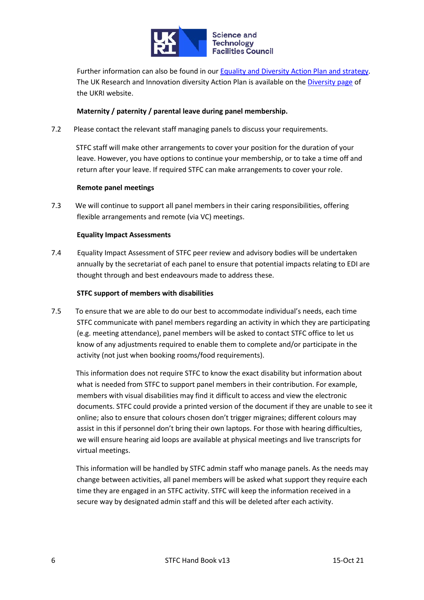

Further information can also be found in our [Equality and Diversity Action Plan and strategy.](https://stfc.ukri.org/files/equality-diversity-strategy/) The UK Research and Innovation diversity Action Plan is available on the [Diversity page](https://stfc.ukri.org/files/equality-diversity-strategy/) of the UKRI website.

# **Maternity / paternity / parental leave during panel membership.**

7.2 Please contact the relevant staff managing panels to discuss your requirements.

 STFC staff will make other arrangements to cover your position for the duration of your leave. However, you have options to continue your membership, or to take a time off and return after your leave. If required STFC can make arrangements to cover your role.

## **Remote panel meetings**

7.3 We will continue to support all panel members in their caring responsibilities, offering flexible arrangements and remote (via VC) meetings.

### **Equality Impact Assessments**

7.4 Equality Impact Assessment of STFC peer review and advisory bodies will be undertaken annually by the secretariat of each panel to ensure that potential impacts relating to EDI are thought through and best endeavours made to address these.

### **STFC support of members with disabilities**

7.5 To ensure that we are able to do our best to accommodate individual's needs, each time STFC communicate with panel members regarding an activity in which they are participating (e.g. meeting attendance), panel members will be asked to contact STFC office to let us know of any adjustments required to enable them to complete and/or participate in the activity (not just when booking rooms/food requirements).

 This information does not require STFC to know the exact disability but information about what is needed from STFC to support panel members in their contribution. For example, members with visual disabilities may find it difficult to access and view the electronic documents. STFC could provide a printed version of the document if they are unable to see it online; also to ensure that colours chosen don't trigger migraines; different colours may assist in this if personnel don't bring their own laptops. For those with hearing difficulties, we will ensure hearing aid loops are available at physical meetings and live transcripts for virtual meetings.

 This information will be handled by STFC admin staff who manage panels. As the needs may change between activities, all panel members will be asked what support they require each time they are engaged in an STFC activity. STFC will keep the information received in a secure way by designated admin staff and this will be deleted after each activity.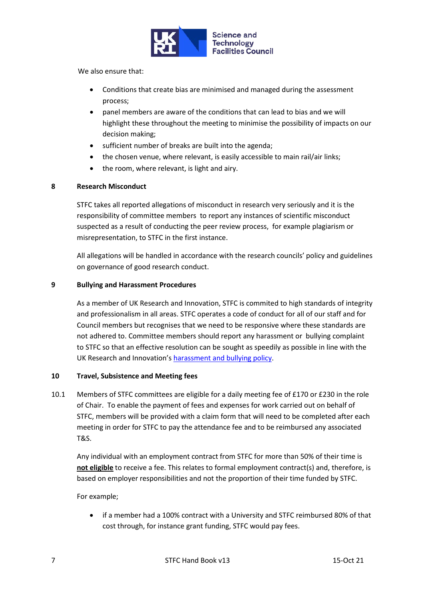

We also ensure that:

- Conditions that create bias are minimised and managed during the assessment process;
- panel members are aware of the conditions that can lead to bias and we will highlight these throughout the meeting to minimise the possibility of impacts on our decision making;
- sufficient number of breaks are built into the agenda;
- the chosen venue, where relevant, is easily accessible to main rail/air links;
- the room, where relevant, is light and airy.

## **8 Research Misconduct**

STFC takes all reported allegations of misconduct in research very seriously and it is the responsibility of committee members to report any instances of scientific misconduct suspected as a result of conducting the peer review process, for example plagiarism or misrepresentation, to STFC in the first instance.

All allegations will be handled in accordance with the research councils' policy and guidelines on governance of good research conduct.

## **9 Bullying and Harassment Procedures**

As a member of UK Research and Innovation, STFC is commited to high standards of integrity and professionalism in all areas. STFC operates a code of conduct for all of our staff and for Council members but recognises that we need to be responsive where these standards are not adhered to. Committee members should report any harassment or bullying complaint to STFC so that an effective resolution can be sought as speedily as possible in line with the UK Research and Innovation'[s harassment and bullying policy.](https://www.ukri.org/files/termsconditions/rcukukriterms/harassment-amp-bullying-pdf/)

# **10 Travel, Subsistence and Meeting fees**

10.1 Members of STFC committees are eligible for a daily meeting fee of £170 or £230 in the role of Chair. To enable the payment of fees and expenses for work carried out on behalf of STFC, members will be provided with a claim form that will need to be completed after each meeting in order for STFC to pay the attendance fee and to be reimbursed any associated T&S.

Any individual with an employment contract from STFC for more than 50% of their time is **not eligible** to receive a fee. This relates to formal employment contract(s) and, therefore, is based on employer responsibilities and not the proportion of their time funded by STFC.

For example;

• if a member had a 100% contract with a University and STFC reimbursed 80% of that cost through, for instance grant funding, STFC would pay fees.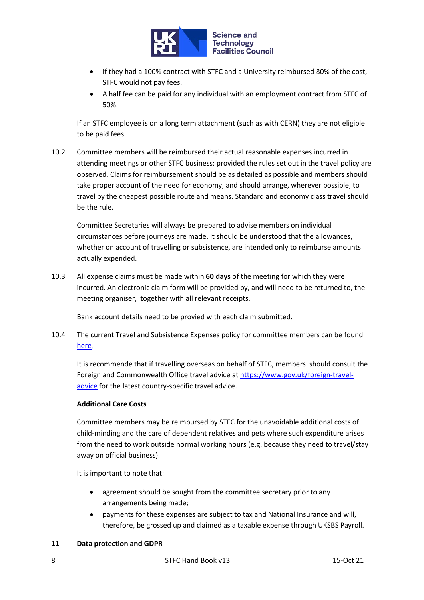

- If they had a 100% contract with STFC and a University reimbursed 80% of the cost, STFC would not pay fees.
- A half fee can be paid for any individual with an employment contract from STFC of 50%.

If an STFC employee is on a long term attachment (such as with CERN) they are not eligible to be paid fees.

10.2 Committee members will be reimbursed their actual reasonable expenses incurred in attending meetings or other STFC business; provided the rules set out in the travel policy are observed. Claims for reimbursement should be as detailed as possible and members should take proper account of the need for economy, and should arrange, wherever possible, to travel by the cheapest possible route and means. Standard and economy class travel should be the rule.

Committee Secretaries will always be prepared to advise members on individual circumstances before journeys are made. It should be understood that the allowances, whether on account of travelling or subsistence, are intended only to reimburse amounts actually expended.

10.3 All expense claims must be made within **60 days** of the meeting for which they were incurred. An electronic claim form will be provided by, and will need to be returned to, the meeting organiser, together with all relevant receipts.

Bank account details need to be provied with each claim submitted.

10.4 The current Travel and Subsistence Expenses policy for committee members can be found [here.](https://www.ukri.org/wp-content/uploads/2020/10/UKRI-081020-TravelAndSubsistencePolicy.pdf?_ga=2.209529426.1906252694.1631608146-740433852.1626085455)

It is recommende that if travelling overseas on behalf of STFC, members should consult the Foreign and Commonwealth Office travel advice at [https://www.gov.uk/foreign-travel](https://www.gov.uk/foreign-travel-advice)[advice](https://www.gov.uk/foreign-travel-advice) for the latest country-specific travel advice.

## **Additional Care Costs**

Committee members may be reimbursed by STFC for the unavoidable additional costs of child-minding and the care of dependent relatives and pets where such expenditure arises from the need to work outside normal working hours (e.g. because they need to travel/stay away on official business).

It is important to note that:

- agreement should be sought from the committee secretary prior to any arrangements being made;
- payments for these expenses are subject to tax and National Insurance and will, therefore, be grossed up and claimed as a taxable expense through UKSBS Payroll.

## **11 Data protection and GDPR**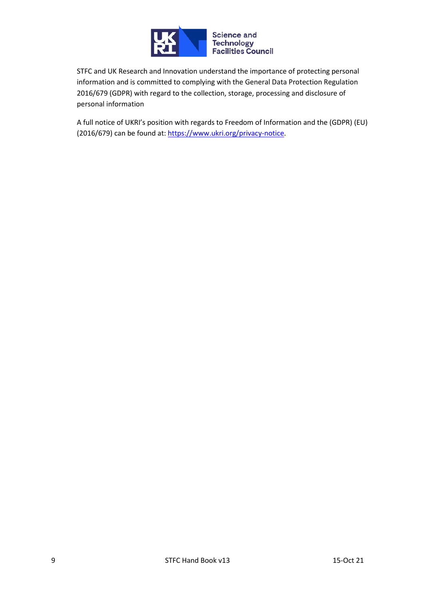

STFC and UK Research and Innovation understand the importance of protecting personal information and is committed to complying with the General Data Protection Regulation 2016/679 (GDPR) with regard to the collection, storage, processing and disclosure of personal information

A full notice of UKRI's position with regards to Freedom of Information and the (GDPR) (EU) (2016/679) can be found at[: https://www.ukri.org/privacy-notice.](https://www.ukri.org/privacy-notice)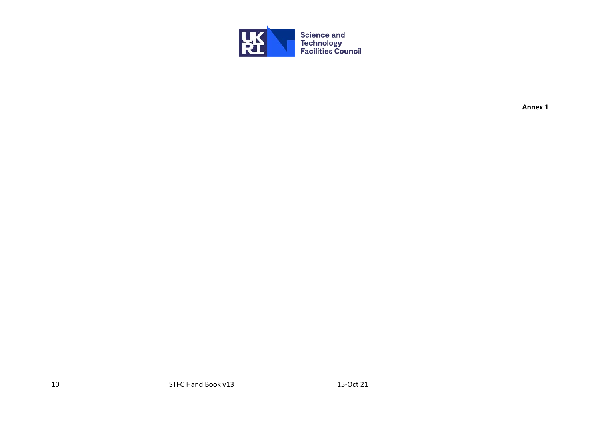<span id="page-9-0"></span>

**Annex 1**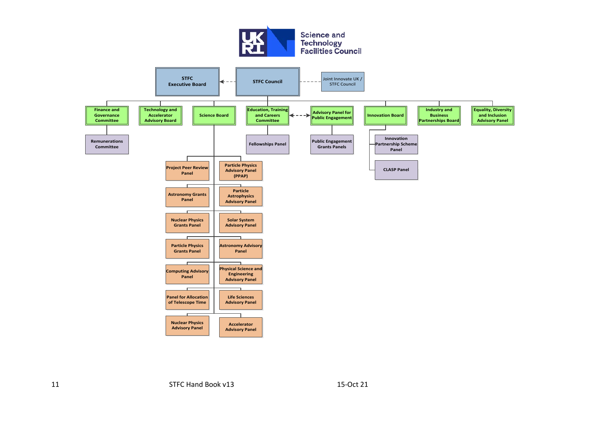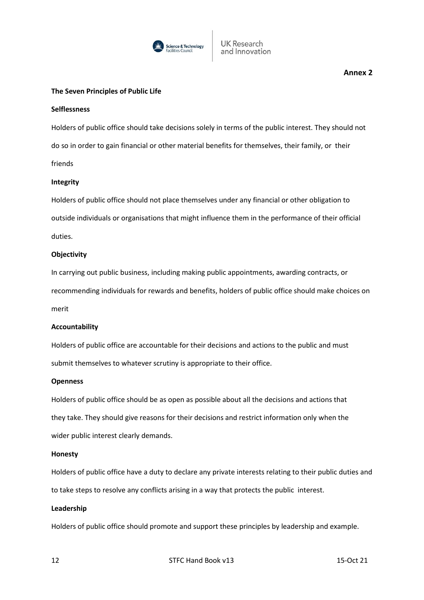

### <span id="page-11-0"></span>**The Seven Principles of Public Life**

#### **Selflessness**

Holders of public office should take decisions solely in terms of the public interest. They should not do so in order to gain financial or other material benefits for themselves, their family, or their friends

### **Integrity**

Holders of public office should not place themselves under any financial or other obligation to outside individuals or organisations that might influence them in the performance of their official duties.

## **Objectivity**

In carrying out public business, including making public appointments, awarding contracts, or recommending individuals for rewards and benefits, holders of public office should make choices on merit

#### **Accountability**

Holders of public office are accountable for their decisions and actions to the public and must submit themselves to whatever scrutiny is appropriate to their office.

#### **Openness**

Holders of public office should be as open as possible about all the decisions and actions that they take. They should give reasons for their decisions and restrict information only when the wider public interest clearly demands.

#### **Honesty**

Holders of public office have a duty to declare any private interests relating to their public duties and to take steps to resolve any conflicts arising in a way that protects the public interest.

#### **Leadership**

Holders of public office should promote and support these principles by leadership and example.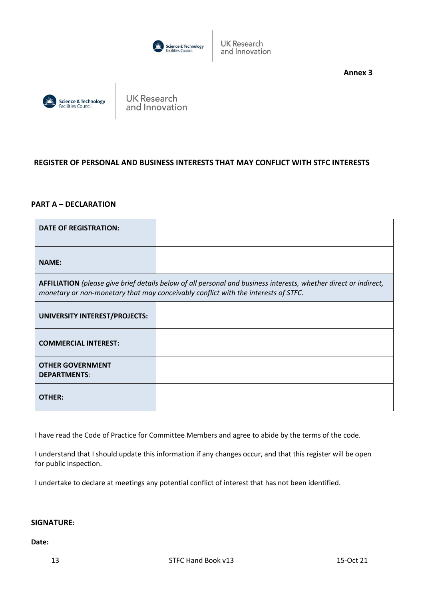

**UK Research** and Innovation

**Annex 3**

<span id="page-12-0"></span>

**UK Research** and Innovation

# **REGISTER OF PERSONAL AND BUSINESS INTERESTS THAT MAY CONFLICT WITH STFC INTERESTS**

## **PART A – DECLARATION**

| <b>DATE OF REGISTRATION:</b>                                                                                                                                                                           |  |
|--------------------------------------------------------------------------------------------------------------------------------------------------------------------------------------------------------|--|
| <b>NAME:</b>                                                                                                                                                                                           |  |
| AFFILIATION (please give brief details below of all personal and business interests, whether direct or indirect,<br>monetary or non-monetary that may conceivably conflict with the interests of STFC. |  |
| UNIVERSITY INTEREST/PROJECTS:                                                                                                                                                                          |  |
| <b>COMMERCIAL INTEREST:</b>                                                                                                                                                                            |  |
| <b>OTHER GOVERNMENT</b><br><b>DEPARTMENTS:</b>                                                                                                                                                         |  |
| <b>OTHER:</b>                                                                                                                                                                                          |  |

I have read the Code of Practice for Committee Members and agree to abide by the terms of the code.

I understand that I should update this information if any changes occur, and that this register will be open for public inspection.

I undertake to declare at meetings any potential conflict of interest that has not been identified.

## **SIGNATURE:**

**Date:**